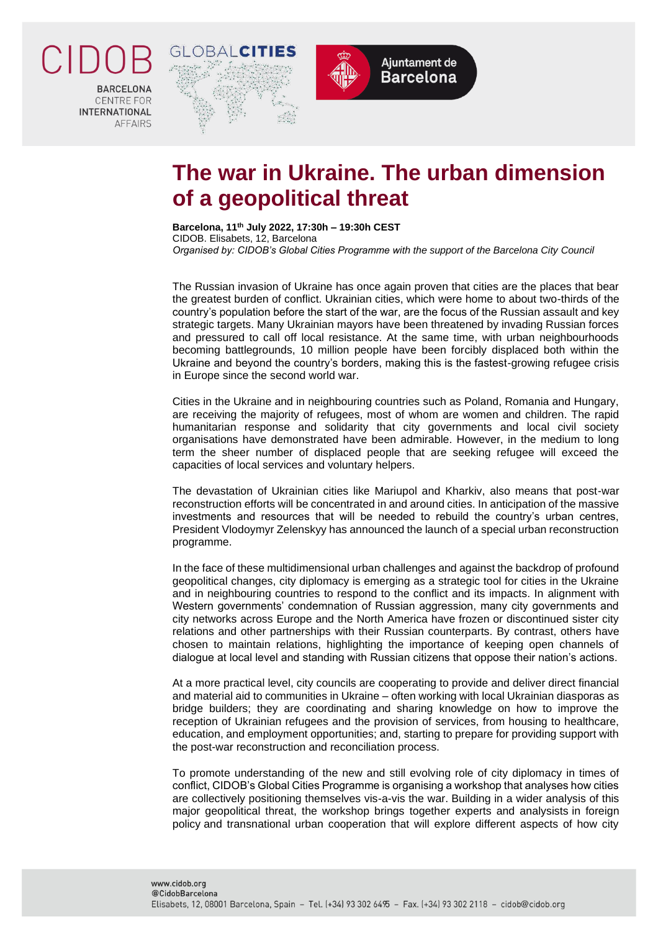

**RARCELONA CENTRE FOR** INTERNATIONAL **AFFAIRS** 





## **The war in Ukraine. The urban dimension of a geopolitical threat**

**Barcelona, 11th July 2022, 17:30h – 19:30h CEST** CIDOB. Elisabets, 12, Barcelona *Organised by: CIDOB's Global Cities Programme with the support of the Barcelona City Council*

The Russian invasion of Ukraine has once again proven that cities are the places that bear the greatest burden of conflict. Ukrainian cities, which were home to about two-thirds of the country's population before the start of the war, are the focus of the Russian assault and key strategic targets. Many Ukrainian mayors have been threatened by invading Russian forces and pressured to call off local resistance. At the same time, with urban neighbourhoods becoming battlegrounds, 10 million people have been forcibly displaced both within the Ukraine and beyond the country's borders, making this is the fastest-growing refugee crisis in Europe since the second world war.

Cities in the Ukraine and in neighbouring countries such as Poland, Romania and Hungary, are receiving the majority of refugees, most of whom are women and children. The rapid humanitarian response and solidarity that city governments and local civil society organisations have demonstrated have been admirable. However, in the medium to long term the sheer number of displaced people that are seeking refugee will exceed the capacities of local services and voluntary helpers.

The devastation of Ukrainian cities like Mariupol and Kharkiv, also means that post-war reconstruction efforts will be concentrated in and around cities. In anticipation of the massive investments and resources that will be needed to rebuild the country's urban centres, President Vlodoymyr Zelenskyy has announced the launch of a special urban reconstruction programme.

In the face of these multidimensional urban challenges and against the backdrop of profound geopolitical changes, city diplomacy is emerging as a strategic tool for cities in the Ukraine and in neighbouring countries to respond to the conflict and its impacts. In alignment with Western governments' condemnation of Russian aggression, many city governments and city networks across Europe and the North America have frozen or discontinued sister city relations and other partnerships with their Russian counterparts. By contrast, others have chosen to maintain relations, highlighting the importance of keeping open channels of dialogue at local level and standing with Russian citizens that oppose their nation's actions.

At a more practical level, city councils are cooperating to provide and deliver direct financial and material aid to communities in Ukraine – often working with local Ukrainian diasporas as bridge builders; they are coordinating and sharing knowledge on how to improve the reception of Ukrainian refugees and the provision of services, from housing to healthcare, education, and employment opportunities; and, starting to prepare for providing support with the post-war reconstruction and reconciliation process.

To promote understanding of the new and still evolving role of city diplomacy in times of conflict, CIDOB's Global Cities Programme is organising a workshop that analyses how cities are collectively positioning themselves vis-a-vis the war. Building in a wider analysis of this major geopolitical threat, the workshop brings together experts and analysists in foreign policy and transnational urban cooperation that will explore different aspects of how city